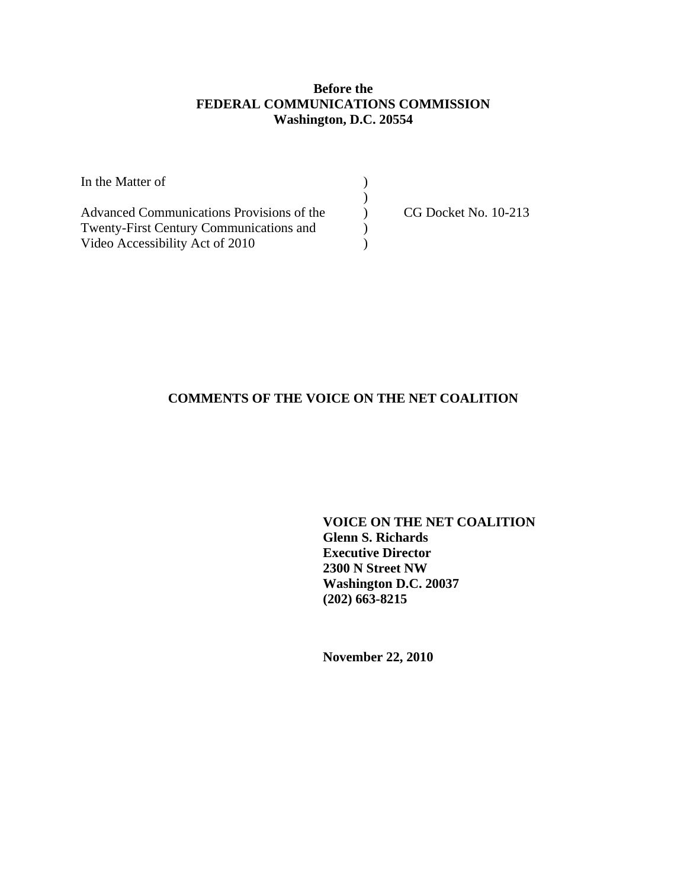# **Before the FEDERAL COMMUNICATIONS COMMISSION Washington, D.C. 20554**

| In the Matter of                               |                      |
|------------------------------------------------|----------------------|
|                                                |                      |
| Advanced Communications Provisions of the      | CG Docket No. 10-213 |
| <b>Twenty-First Century Communications and</b> |                      |
| Video Accessibility Act of 2010                |                      |

# **COMMENTS OF THE VOICE ON THE NET COALITION**

**VOICE ON THE NET COALITION Glenn S. Richards Executive Director 2300 N Street NW Washington D.C. 20037 (202) 663-8215** 

**November 22, 2010**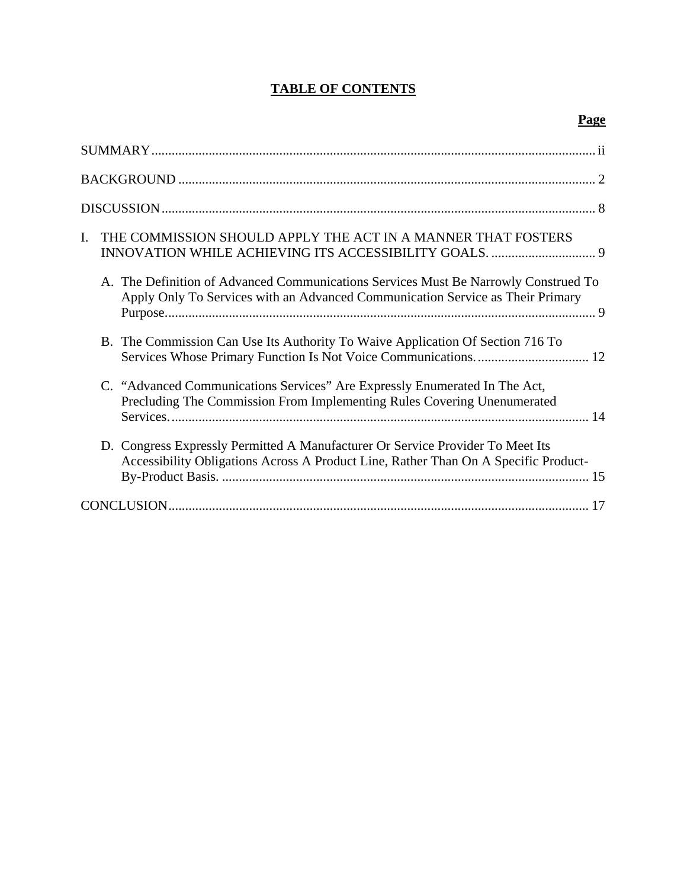# **TABLE OF CONTENTS**

# **Page**

| THE COMMISSION SHOULD APPLY THE ACT IN A MANNER THAT FOSTERS<br>L.                                                                                                    |
|-----------------------------------------------------------------------------------------------------------------------------------------------------------------------|
| A. The Definition of Advanced Communications Services Must Be Narrowly Construed To<br>Apply Only To Services with an Advanced Communication Service as Their Primary |
| B. The Commission Can Use Its Authority To Waive Application Of Section 716 To<br>Services Whose Primary Function Is Not Voice Communications 12                      |
| C. "Advanced Communications Services" Are Expressly Enumerated In The Act,<br>Precluding The Commission From Implementing Rules Covering Unenumerated                 |
| D. Congress Expressly Permitted A Manufacturer Or Service Provider To Meet Its<br>Accessibility Obligations Across A Product Line, Rather Than On A Specific Product- |
|                                                                                                                                                                       |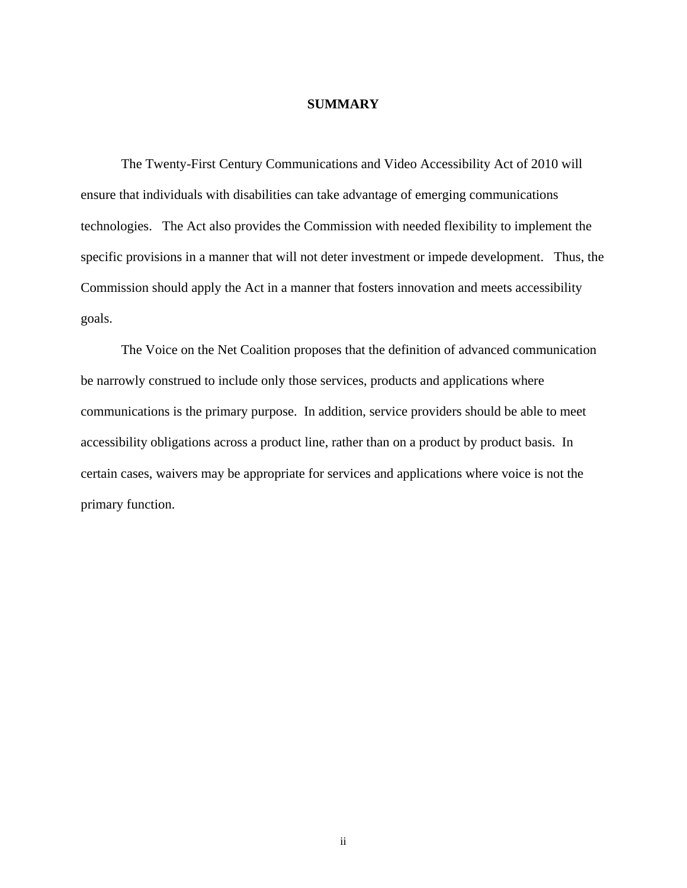#### **SUMMARY**

The Twenty-First Century Communications and Video Accessibility Act of 2010 will ensure that individuals with disabilities can take advantage of emerging communications technologies. The Act also provides the Commission with needed flexibility to implement the specific provisions in a manner that will not deter investment or impede development. Thus, the Commission should apply the Act in a manner that fosters innovation and meets accessibility goals.

 The Voice on the Net Coalition proposes that the definition of advanced communication be narrowly construed to include only those services, products and applications where communications is the primary purpose. In addition, service providers should be able to meet accessibility obligations across a product line, rather than on a product by product basis. In certain cases, waivers may be appropriate for services and applications where voice is not the primary function.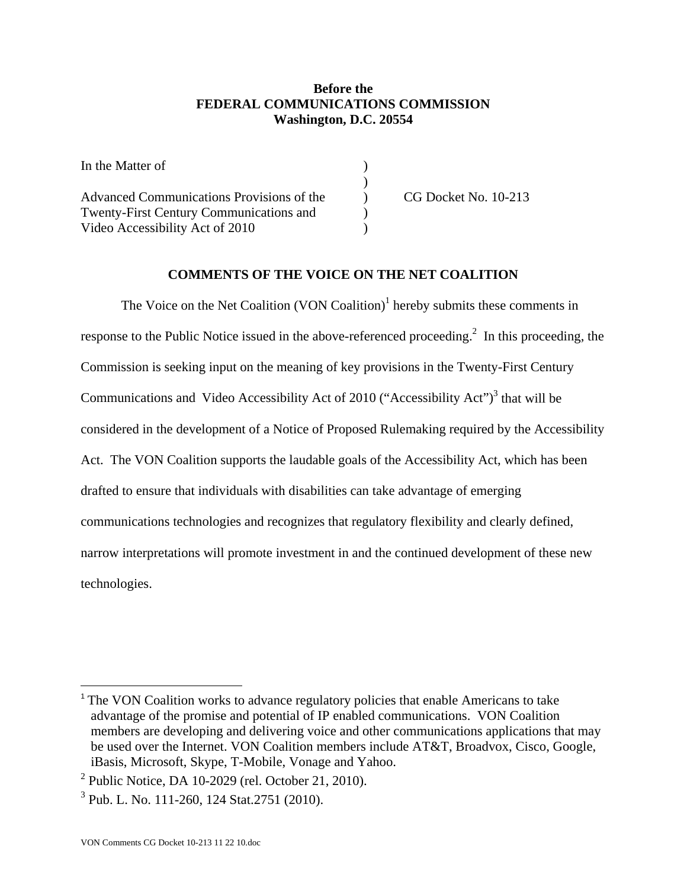## **Before the FEDERAL COMMUNICATIONS COMMISSION Washington, D.C. 20554**

| In the Matter of                               |                      |
|------------------------------------------------|----------------------|
|                                                |                      |
| Advanced Communications Provisions of the      | CG Docket No. 10-213 |
| <b>Twenty-First Century Communications and</b> |                      |
| Video Accessibility Act of 2010                |                      |

# **COMMENTS OF THE VOICE ON THE NET COALITION**

The Voice on the Net Coalition  $(VON$  Coalition)<sup>1</sup> hereby submits these comments in response to the Public Notice issued in the above-referenced proceeding.<sup>2</sup> In this proceeding, the Commission is seeking input on the meaning of key provisions in the Twenty-First Century Communications and Video Accessibility Act of 2010 ("Accessibility Act") $3$  that will be considered in the development of a Notice of Proposed Rulemaking required by the Accessibility Act. The VON Coalition supports the laudable goals of the Accessibility Act, which has been drafted to ensure that individuals with disabilities can take advantage of emerging communications technologies and recognizes that regulatory flexibility and clearly defined, narrow interpretations will promote investment in and the continued development of these new technologies.

<sup>&</sup>lt;sup>1</sup> The VON Coalition works to advance regulatory policies that enable Americans to take advantage of the promise and potential of IP enabled communications. VON Coalition members are developing and delivering voice and other communications applications that may be used over the Internet. VON Coalition members include AT&T, Broadvox, Cisco, Google, iBasis, Microsoft, Skype, T-Mobile, Vonage and Yahoo.

 $2$  Public Notice, DA 10-2029 (rel. October 21, 2010).

<sup>&</sup>lt;sup>3</sup> Pub. L. No. 111-260, 124 Stat.2751 (2010).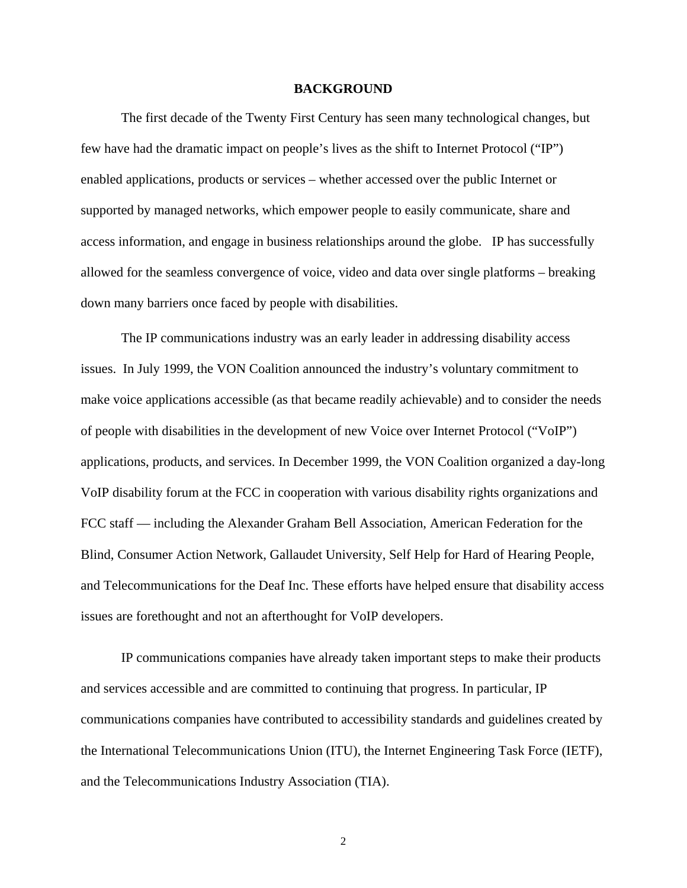#### **BACKGROUND**

 The first decade of the Twenty First Century has seen many technological changes, but few have had the dramatic impact on people's lives as the shift to Internet Protocol ("IP") enabled applications, products or services – whether accessed over the public Internet or supported by managed networks, which empower people to easily communicate, share and access information, and engage in business relationships around the globe. IP has successfully allowed for the seamless convergence of voice, video and data over single platforms – breaking down many barriers once faced by people with disabilities.

 The IP communications industry was an early leader in addressing disability access issues. In July 1999, the VON Coalition announced the industry's voluntary commitment to make voice applications accessible (as that became readily achievable) and to consider the needs of people with disabilities in the development of new Voice over Internet Protocol ("VoIP") applications, products, and services. In December 1999, the VON Coalition organized a day-long VoIP disability forum at the FCC in cooperation with various disability rights organizations and FCC staff — including the Alexander Graham Bell Association, American Federation for the Blind, Consumer Action Network, Gallaudet University, Self Help for Hard of Hearing People, and Telecommunications for the Deaf Inc. These efforts have helped ensure that disability access issues are forethought and not an afterthought for VoIP developers.

IP communications companies have already taken important steps to make their products and services accessible and are committed to continuing that progress. In particular, IP communications companies have contributed to accessibility standards and guidelines created by the International Telecommunications Union (ITU), the Internet Engineering Task Force (IETF), and the Telecommunications Industry Association (TIA).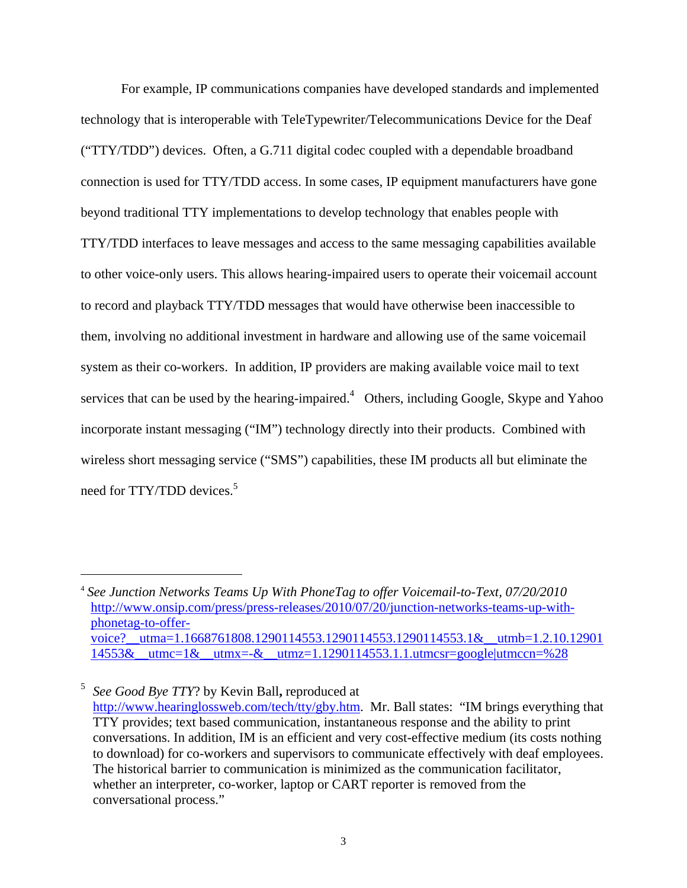For example, IP communications companies have developed standards and implemented technology that is interoperable with TeleTypewriter/Telecommunications Device for the Deaf ("TTY/TDD") devices. Often, a G.711 digital codec coupled with a dependable broadband connection is used for TTY/TDD access. In some cases, IP equipment manufacturers have gone beyond traditional TTY implementations to develop technology that enables people with TTY/TDD interfaces to leave messages and access to the same messaging capabilities available to other voice-only users. This allows hearing-impaired users to operate their voicemail account to record and playback TTY/TDD messages that would have otherwise been inaccessible to them, involving no additional investment in hardware and allowing use of the same voicemail system as their co-workers. In addition, IP providers are making available voice mail to text services that can be used by the hearing-impaired.<sup>4</sup> Others, including Google, Skype and Yahoo incorporate instant messaging ("IM") technology directly into their products. Combined with wireless short messaging service ("SMS") capabilities, these IM products all but eliminate the need for TTY/TDD devices.<sup>5</sup>

1

5 *See Good Bye TTY*? by Kevin Ball**,** reproduced at http://www.hearinglossweb.com/tech/tty/gby.htm. Mr. Ball states:"IM brings everything that TTY provides; text based communication, instantaneous response and the ability to print conversations. In addition, IM is an efficient and very cost-effective medium (its costs nothing to download) for co-workers and supervisors to communicate effectively with deaf employees. The historical barrier to communication is minimized as the communication facilitator, whether an interpreter, co-worker, laptop or CART reporter is removed from the conversational process."

<sup>4</sup> *See Junction Networks Teams Up With PhoneTag to offer Voicemail-to-Text, 07/20/2010*  http://www.onsip.com/press/press-releases/2010/07/20/junction-networks-teams-up-withphonetag-to-offervoice?\_\_utma=1.1668761808.1290114553.1290114553.1290114553.1&\_\_utmb=1.2.10.12901  $14553&$  utmc= $1&$  utmx=- $&$  utmz=1.1290114553.1.1.utmcsr=google|utmccn=%28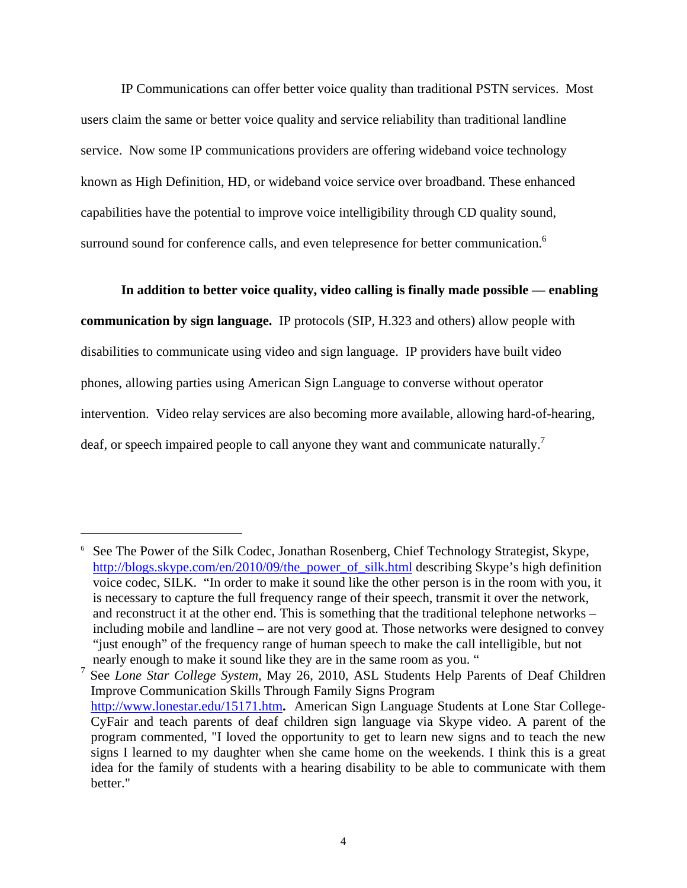IP Communications can offer better voice quality than traditional PSTN services. Most users claim the same or better voice quality and service reliability than traditional landline service. Now some IP communications providers are offering wideband voice technology known as High Definition, HD, or wideband voice service over broadband. These enhanced capabilities have the potential to improve voice intelligibility through CD quality sound, surround sound for conference calls, and even telepresence for better communication.<sup>6</sup>

 **In addition to better voice quality, video calling is finally made possible — enabling communication by sign language.** IP protocols (SIP, H.323 and others) allow people with disabilities to communicate using video and sign language. IP providers have built video phones, allowing parties using American Sign Language to converse without operator intervention. Video relay services are also becoming more available, allowing hard-of-hearing, deaf, or speech impaired people to call anyone they want and communicate naturally.<sup>7</sup>

<sup>&</sup>lt;sup>6</sup> See The Power of the Silk Codec, Jonathan Rosenberg, Chief Technology Strategist, Skype, http://blogs.skype.com/en/2010/09/the\_power\_of\_silk.html describing Skype's high definition voice codec, SILK. "In order to make it sound like the other person is in the room with you, it is necessary to capture the full frequency range of their speech, transmit it over the network, and reconstruct it at the other end. This is something that the traditional telephone networks – including mobile and landline – are not very good at. Those networks were designed to convey "just enough" of the frequency range of human speech to make the call intelligible, but not nearly enough to make it sound like they are in the same room as you. "

<sup>7</sup> See *Lone Star College System,* May 26, 2010, ASL Students Help Parents of Deaf Children Improve Communication Skills Through Family Signs Program http://www.lonestar.edu/15171.htm**.** American Sign Language Students at Lone Star College-CyFair and teach parents of deaf children sign language via Skype video. A parent of the program commented, "I loved the opportunity to get to learn new signs and to teach the new signs I learned to my daughter when she came home on the weekends. I think this is a great idea for the family of students with a hearing disability to be able to communicate with them better."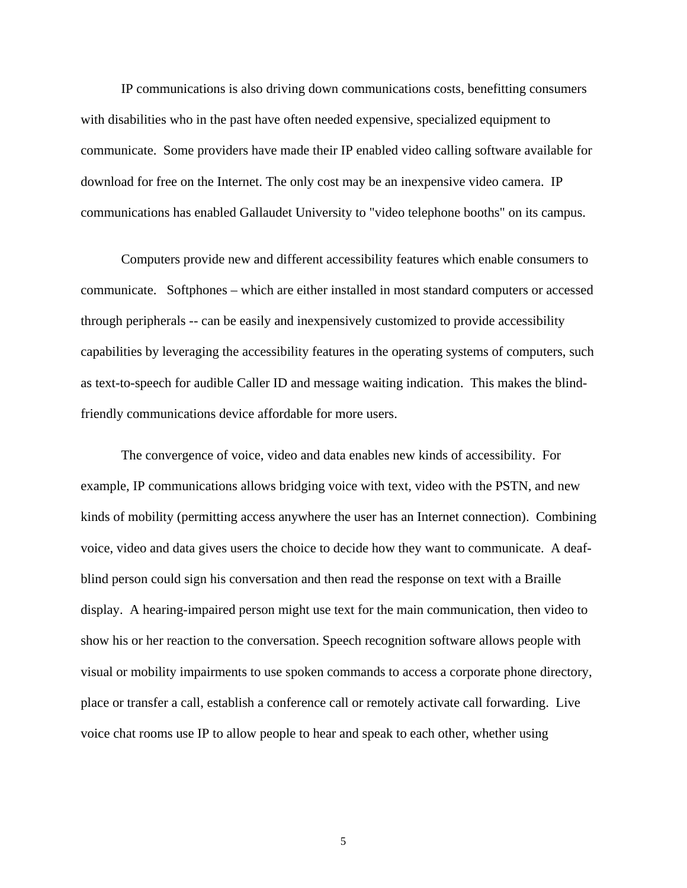IP communications is also driving down communications costs, benefitting consumers with disabilities who in the past have often needed expensive, specialized equipment to communicate. Some providers have made their IP enabled video calling software available for download for free on the Internet. The only cost may be an inexpensive video camera. IP communications has enabled Gallaudet University to "video telephone booths" on its campus.

 Computers provide new and different accessibility features which enable consumers to communicate. Softphones – which are either installed in most standard computers or accessed through peripherals -- can be easily and inexpensively customized to provide accessibility capabilities by leveraging the accessibility features in the operating systems of computers, such as text-to-speech for audible Caller ID and message waiting indication. This makes the blindfriendly communications device affordable for more users.

 The convergence of voice, video and data enables new kinds of accessibility. For example, IP communications allows bridging voice with text, video with the PSTN, and new kinds of mobility (permitting access anywhere the user has an Internet connection). Combining voice, video and data gives users the choice to decide how they want to communicate. A deafblind person could sign his conversation and then read the response on text with a Braille display. A hearing-impaired person might use text for the main communication, then video to show his or her reaction to the conversation. Speech recognition software allows people with visual or mobility impairments to use spoken commands to access a corporate phone directory, place or transfer a call, establish a conference call or remotely activate call forwarding. Live voice chat rooms use IP to allow people to hear and speak to each other, whether using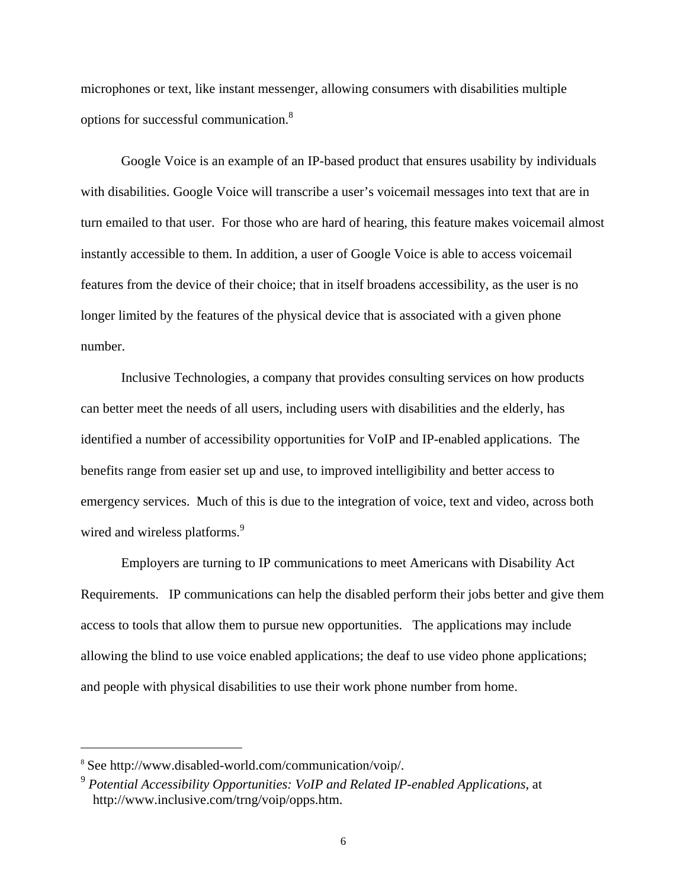microphones or text, like instant messenger, allowing consumers with disabilities multiple options for successful communication.8

 Google Voice is an example of an IP-based product that ensures usability by individuals with disabilities. Google Voice will transcribe a user's voicemail messages into text that are in turn emailed to that user. For those who are hard of hearing, this feature makes voicemail almost instantly accessible to them. In addition, a user of Google Voice is able to access voicemail features from the device of their choice; that in itself broadens accessibility, as the user is no longer limited by the features of the physical device that is associated with a given phone number.

 Inclusive Technologies, a company that provides consulting services on how products can better meet the needs of all users, including users with disabilities and the elderly, has identified a number of accessibility opportunities for VoIP and IP-enabled applications. The benefits range from easier set up and use, to improved intelligibility and better access to emergency services. Much of this is due to the integration of voice, text and video, across both wired and wireless platforms.<sup>9</sup>

 Employers are turning to IP communications to meet Americans with Disability Act Requirements. IP communications can help the disabled perform their jobs better and give them access to tools that allow them to pursue new opportunities. The applications may include allowing the blind to use voice enabled applications; the deaf to use video phone applications; and people with physical disabilities to use their work phone number from home.

<sup>8</sup> See http://www.disabled-world.com/communication/voip/.

<sup>9</sup> *Potential Accessibility Opportunities: VoIP and Related IP-enabled Applications*, at http://www.inclusive.com/trng/voip/opps.htm.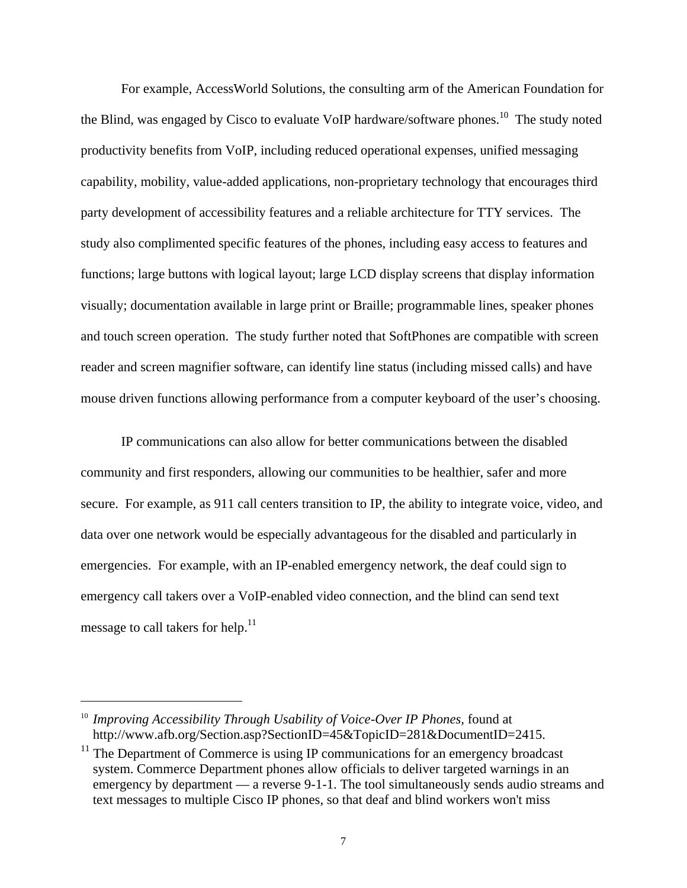For example, AccessWorld Solutions, the consulting arm of the American Foundation for the Blind, was engaged by Cisco to evaluate VoIP hardware/software phones.<sup>10</sup> The study noted productivity benefits from VoIP, including reduced operational expenses, unified messaging capability, mobility, value-added applications, non-proprietary technology that encourages third party development of accessibility features and a reliable architecture for TTY services. The study also complimented specific features of the phones, including easy access to features and functions; large buttons with logical layout; large LCD display screens that display information visually; documentation available in large print or Braille; programmable lines, speaker phones and touch screen operation. The study further noted that SoftPhones are compatible with screen reader and screen magnifier software, can identify line status (including missed calls) and have mouse driven functions allowing performance from a computer keyboard of the user's choosing.

IP communications can also allow for better communications between the disabled community and first responders, allowing our communities to be healthier, safer and more secure. For example, as 911 call centers transition to IP, the ability to integrate voice, video, and data over one network would be especially advantageous for the disabled and particularly in emergencies. For example, with an IP-enabled emergency network, the deaf could sign to emergency call takers over a VoIP-enabled video connection, and the blind can send text message to call takers for help. $^{11}$ 

<sup>&</sup>lt;sup>10</sup> *Improving Accessibility Through Usability of Voice-Over IP Phones, found at* http://www.afb.org/Section.asp?SectionID=45&TopicID=281&DocumentID=2415.

 $11$  The Department of Commerce is using IP communications for an emergency broadcast system. Commerce Department phones allow officials to deliver targeted warnings in an emergency by department — a reverse 9-1-1. The tool simultaneously sends audio streams and text messages to multiple Cisco IP phones, so that deaf and blind workers won't miss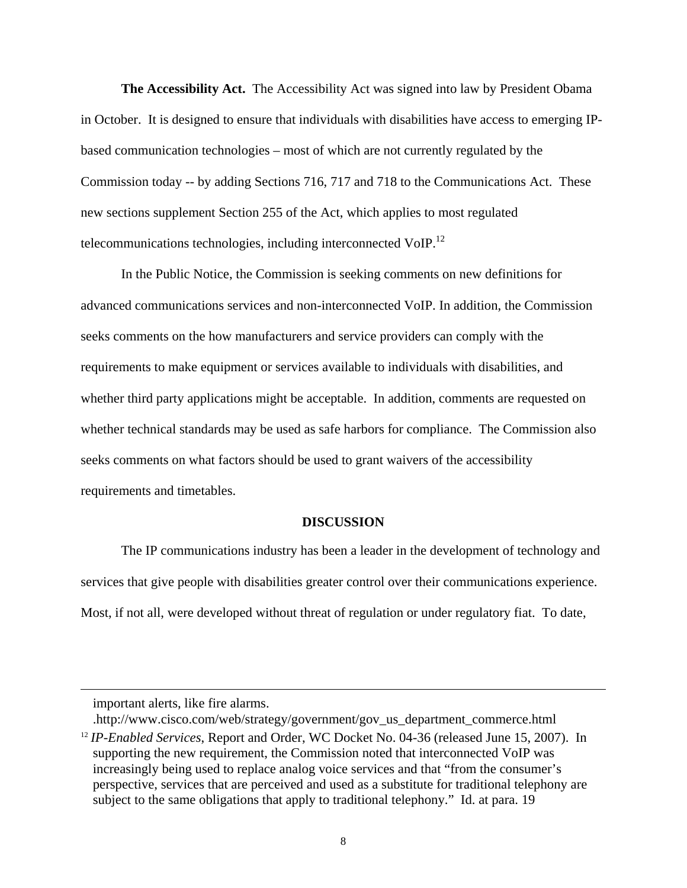**The Accessibility Act.** The Accessibility Act was signed into law by President Obama in October. It is designed to ensure that individuals with disabilities have access to emerging IPbased communication technologies – most of which are not currently regulated by the Commission today -- by adding Sections 716, 717 and 718 to the Communications Act. These new sections supplement Section 255 of the Act, which applies to most regulated telecommunications technologies, including interconnected VoIP.<sup>12</sup>

 In the Public Notice, the Commission is seeking comments on new definitions for advanced communications services and non-interconnected VoIP. In addition, the Commission seeks comments on the how manufacturers and service providers can comply with the requirements to make equipment or services available to individuals with disabilities, and whether third party applications might be acceptable. In addition, comments are requested on whether technical standards may be used as safe harbors for compliance. The Commission also seeks comments on what factors should be used to grant waivers of the accessibility requirements and timetables.

#### **DISCUSSION**

The IP communications industry has been a leader in the development of technology and services that give people with disabilities greater control over their communications experience. Most, if not all, were developed without threat of regulation or under regulatory fiat. To date,

important alerts, like fire alarms.

<sup>.</sup>http://www.cisco.com/web/strategy/government/gov\_us\_department\_commerce.html

<sup>&</sup>lt;sup>12</sup> IP-Enabled Services, Report and Order, WC Docket No. 04-36 (released June 15, 2007). In supporting the new requirement, the Commission noted that interconnected VoIP was increasingly being used to replace analog voice services and that "from the consumer's perspective, services that are perceived and used as a substitute for traditional telephony are subject to the same obligations that apply to traditional telephony." Id. at para. 19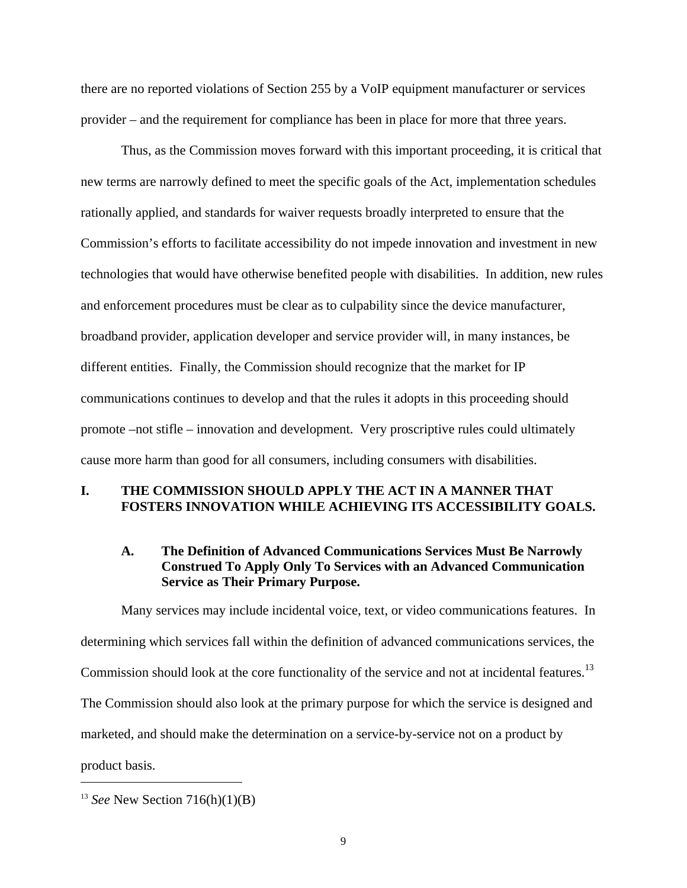there are no reported violations of Section 255 by a VoIP equipment manufacturer or services provider – and the requirement for compliance has been in place for more that three years.

 Thus, as the Commission moves forward with this important proceeding, it is critical that new terms are narrowly defined to meet the specific goals of the Act, implementation schedules rationally applied, and standards for waiver requests broadly interpreted to ensure that the Commission's efforts to facilitate accessibility do not impede innovation and investment in new technologies that would have otherwise benefited people with disabilities. In addition, new rules and enforcement procedures must be clear as to culpability since the device manufacturer, broadband provider, application developer and service provider will, in many instances, be different entities. Finally, the Commission should recognize that the market for IP communications continues to develop and that the rules it adopts in this proceeding should promote –not stifle – innovation and development. Very proscriptive rules could ultimately cause more harm than good for all consumers, including consumers with disabilities.

## **I. THE COMMISSION SHOULD APPLY THE ACT IN A MANNER THAT FOSTERS INNOVATION WHILE ACHIEVING ITS ACCESSIBILITY GOALS.**

### **A. The Definition of Advanced Communications Services Must Be Narrowly Construed To Apply Only To Services with an Advanced Communication Service as Their Primary Purpose.**

 Many services may include incidental voice, text, or video communications features. In determining which services fall within the definition of advanced communications services, the Commission should look at the core functionality of the service and not at incidental features.<sup>13</sup> The Commission should also look at the primary purpose for which the service is designed and marketed, and should make the determination on a service-by-service not on a product by product basis.

<u>.</u>

<sup>13</sup> *See* New Section 716(h)(1)(B)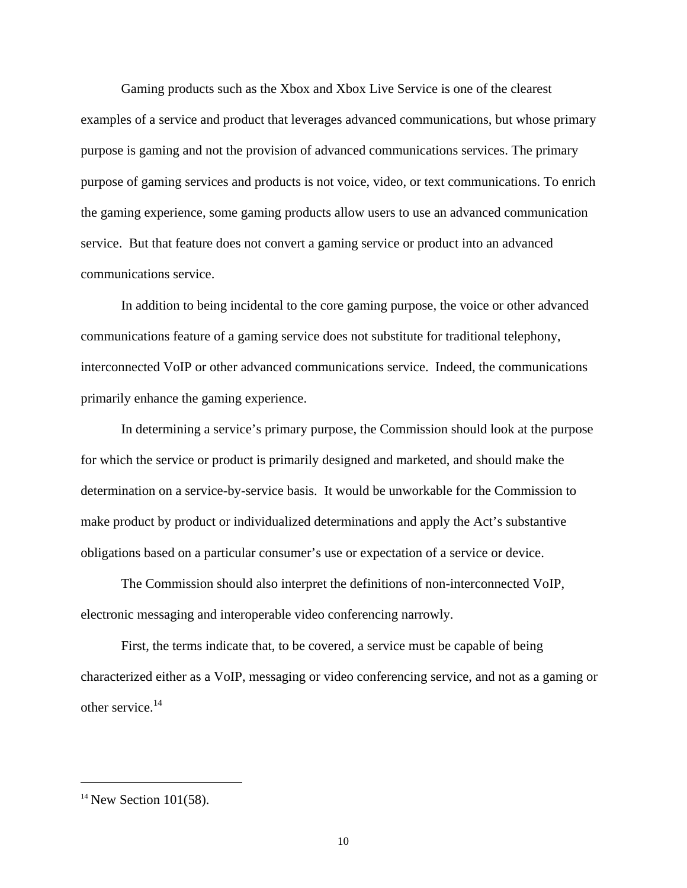Gaming products such as the Xbox and Xbox Live Service is one of the clearest examples of a service and product that leverages advanced communications, but whose primary purpose is gaming and not the provision of advanced communications services. The primary purpose of gaming services and products is not voice, video, or text communications. To enrich the gaming experience, some gaming products allow users to use an advanced communication service. But that feature does not convert a gaming service or product into an advanced communications service.

 In addition to being incidental to the core gaming purpose, the voice or other advanced communications feature of a gaming service does not substitute for traditional telephony, interconnected VoIP or other advanced communications service. Indeed, the communications primarily enhance the gaming experience.

 In determining a service's primary purpose, the Commission should look at the purpose for which the service or product is primarily designed and marketed, and should make the determination on a service-by-service basis. It would be unworkable for the Commission to make product by product or individualized determinations and apply the Act's substantive obligations based on a particular consumer's use or expectation of a service or device.

 The Commission should also interpret the definitions of non-interconnected VoIP, electronic messaging and interoperable video conferencing narrowly.

 First, the terms indicate that, to be covered, a service must be capable of being characterized either as a VoIP, messaging or video conferencing service, and not as a gaming or other service.<sup>14</sup>

 $14$  New Section 101(58).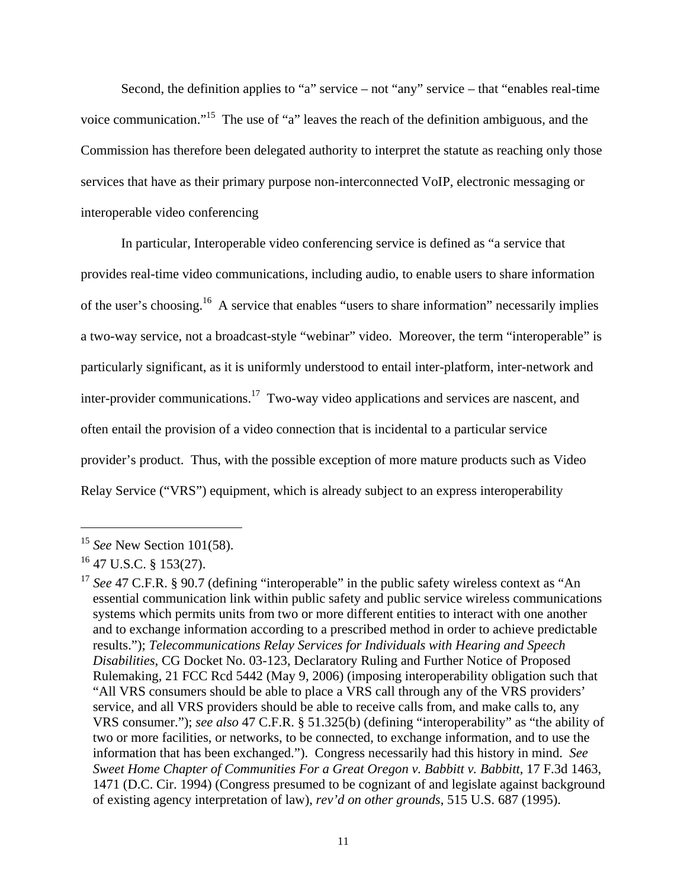Second, the definition applies to "a" service – not "any" service – that "enables real-time voice communication."15 The use of "a" leaves the reach of the definition ambiguous, and the Commission has therefore been delegated authority to interpret the statute as reaching only those services that have as their primary purpose non-interconnected VoIP, electronic messaging or interoperable video conferencing

 In particular, Interoperable video conferencing service is defined as "a service that provides real-time video communications, including audio, to enable users to share information of the user's choosing.16 A service that enables "users to share information" necessarily implies a two-way service, not a broadcast-style "webinar" video. Moreover, the term "interoperable" is particularly significant, as it is uniformly understood to entail inter-platform, inter-network and inter-provider communications.17 Two-way video applications and services are nascent, and often entail the provision of a video connection that is incidental to a particular service provider's product. Thus, with the possible exception of more mature products such as Video Relay Service ("VRS") equipment, which is already subject to an express interoperability

<sup>15</sup> *See* New Section 101(58).

 $16$  47 U.S.C. § 153(27).

<sup>&</sup>lt;sup>17</sup> See 47 C.F.R. § 90.7 (defining "interoperable" in the public safety wireless context as "An essential communication link within public safety and public service wireless communications systems which permits units from two or more different entities to interact with one another and to exchange information according to a prescribed method in order to achieve predictable results."); *Telecommunications Relay Services for Individuals with Hearing and Speech Disabilities*, CG Docket No. 03-123, Declaratory Ruling and Further Notice of Proposed Rulemaking, 21 FCC Rcd 5442 (May 9, 2006) (imposing interoperability obligation such that "All VRS consumers should be able to place a VRS call through any of the VRS providers' service, and all VRS providers should be able to receive calls from, and make calls to, any VRS consumer."); *see also* 47 C.F.R. § 51.325(b) (defining "interoperability" as "the ability of two or more facilities, or networks, to be connected, to exchange information, and to use the information that has been exchanged."). Congress necessarily had this history in mind. *See Sweet Home Chapter of Communities For a Great Oregon v. Babbitt v. Babbitt*, 17 F.3d 1463, 1471 (D.C. Cir. 1994) (Congress presumed to be cognizant of and legislate against background of existing agency interpretation of law), *rev'd on other grounds*, 515 U.S. 687 (1995).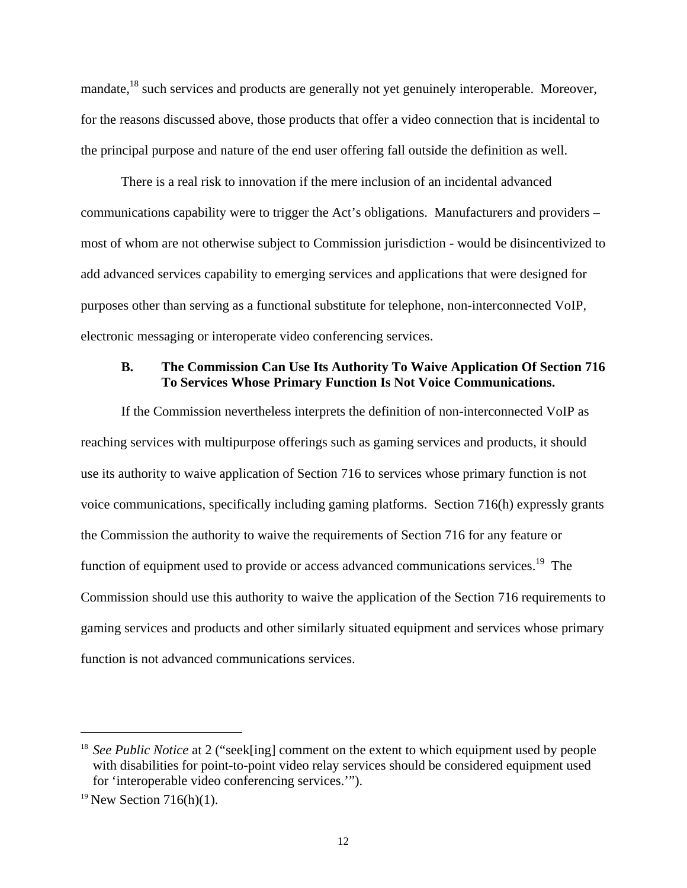mandate,<sup>18</sup> such services and products are generally not yet genuinely interoperable. Moreover, for the reasons discussed above, those products that offer a video connection that is incidental to the principal purpose and nature of the end user offering fall outside the definition as well.

 There is a real risk to innovation if the mere inclusion of an incidental advanced communications capability were to trigger the Act's obligations. Manufacturers and providers – most of whom are not otherwise subject to Commission jurisdiction - would be disincentivized to add advanced services capability to emerging services and applications that were designed for purposes other than serving as a functional substitute for telephone, non-interconnected VoIP, electronic messaging or interoperate video conferencing services.

### **B. The Commission Can Use Its Authority To Waive Application Of Section 716 To Services Whose Primary Function Is Not Voice Communications.**

 If the Commission nevertheless interprets the definition of non-interconnected VoIP as reaching services with multipurpose offerings such as gaming services and products, it should use its authority to waive application of Section 716 to services whose primary function is not voice communications, specifically including gaming platforms. Section 716(h) expressly grants the Commission the authority to waive the requirements of Section 716 for any feature or function of equipment used to provide or access advanced communications services.<sup>19</sup> The Commission should use this authority to waive the application of the Section 716 requirements to gaming services and products and other similarly situated equipment and services whose primary function is not advanced communications services.

<sup>&</sup>lt;sup>18</sup> *See Public Notice* at 2 ("seek[ing] comment on the extent to which equipment used by people with disabilities for point-to-point video relay services should be considered equipment used for 'interoperable video conferencing services.'").

<sup>&</sup>lt;sup>19</sup> New Section 716(h)(1).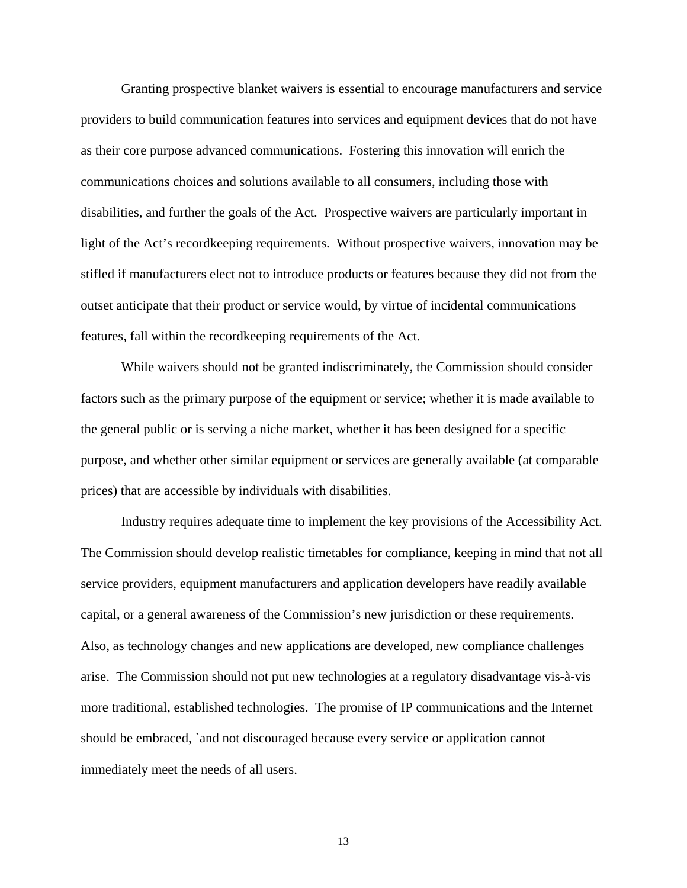Granting prospective blanket waivers is essential to encourage manufacturers and service providers to build communication features into services and equipment devices that do not have as their core purpose advanced communications. Fostering this innovation will enrich the communications choices and solutions available to all consumers, including those with disabilities, and further the goals of the Act. Prospective waivers are particularly important in light of the Act's recordkeeping requirements. Without prospective waivers, innovation may be stifled if manufacturers elect not to introduce products or features because they did not from the outset anticipate that their product or service would, by virtue of incidental communications features, fall within the recordkeeping requirements of the Act.

 While waivers should not be granted indiscriminately, the Commission should consider factors such as the primary purpose of the equipment or service; whether it is made available to the general public or is serving a niche market, whether it has been designed for a specific purpose, and whether other similar equipment or services are generally available (at comparable prices) that are accessible by individuals with disabilities.

 Industry requires adequate time to implement the key provisions of the Accessibility Act. The Commission should develop realistic timetables for compliance, keeping in mind that not all service providers, equipment manufacturers and application developers have readily available capital, or a general awareness of the Commission's new jurisdiction or these requirements. Also, as technology changes and new applications are developed, new compliance challenges arise. The Commission should not put new technologies at a regulatory disadvantage vis-à-vis more traditional, established technologies. The promise of IP communications and the Internet should be embraced, `and not discouraged because every service or application cannot immediately meet the needs of all users.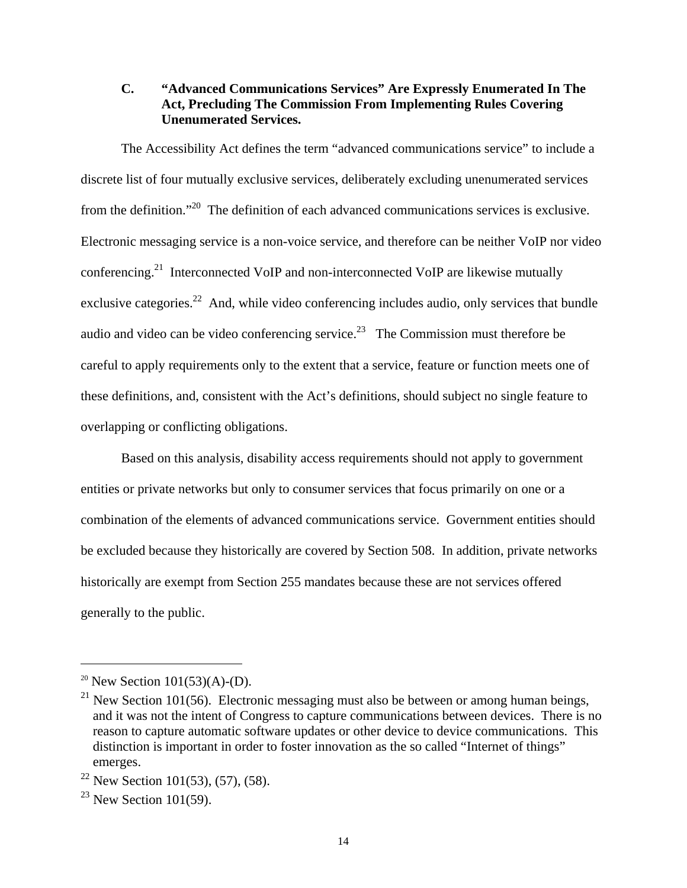## **C. "Advanced Communications Services" Are Expressly Enumerated In The Act, Precluding The Commission From Implementing Rules Covering Unenumerated Services.**

 The Accessibility Act defines the term "advanced communications service" to include a discrete list of four mutually exclusive services, deliberately excluding unenumerated services from the definition."20 The definition of each advanced communications services is exclusive. Electronic messaging service is a non-voice service, and therefore can be neither VoIP nor video conferencing.21 Interconnected VoIP and non-interconnected VoIP are likewise mutually exclusive categories.<sup>22</sup> And, while video conferencing includes audio, only services that bundle audio and video can be video conferencing service.<sup>23</sup> The Commission must therefore be careful to apply requirements only to the extent that a service, feature or function meets one of these definitions, and, consistent with the Act's definitions, should subject no single feature to overlapping or conflicting obligations.

 Based on this analysis, disability access requirements should not apply to government entities or private networks but only to consumer services that focus primarily on one or a combination of the elements of advanced communications service. Government entities should be excluded because they historically are covered by Section 508. In addition, private networks historically are exempt from Section 255 mandates because these are not services offered generally to the public.

<sup>&</sup>lt;sup>20</sup> New Section  $101(53)(A)-D$ .

<sup>&</sup>lt;sup>21</sup> New Section 101(56). Electronic messaging must also be between or among human beings, and it was not the intent of Congress to capture communications between devices. There is no reason to capture automatic software updates or other device to device communications. This distinction is important in order to foster innovation as the so called "Internet of things" emerges.

<sup>&</sup>lt;sup>22</sup> New Section 101(53), (57), (58).

 $23$  New Section 101(59).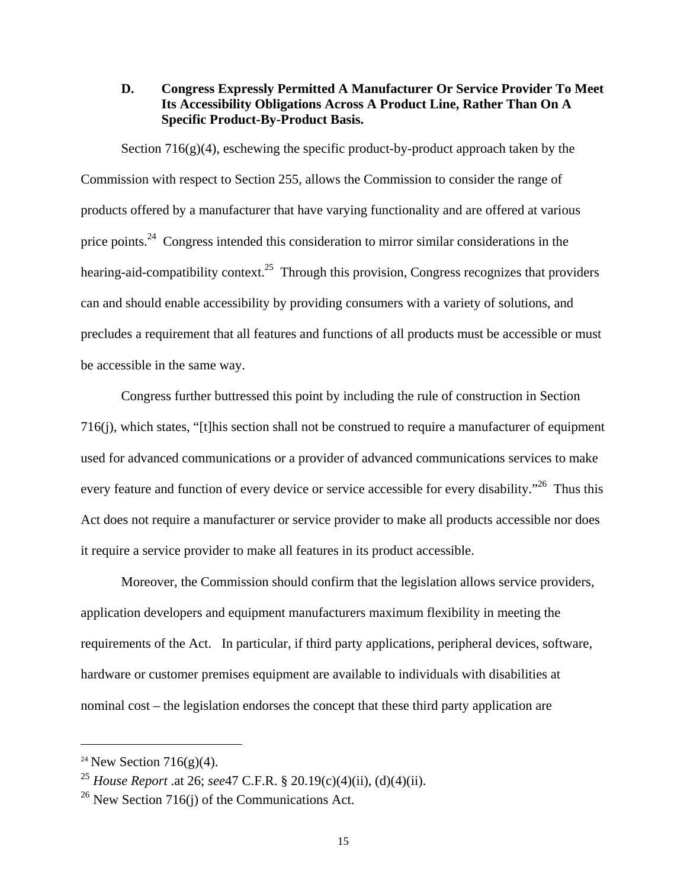## **D. Congress Expressly Permitted A Manufacturer Or Service Provider To Meet Its Accessibility Obligations Across A Product Line, Rather Than On A Specific Product-By-Product Basis.**

Section  $716(g)(4)$ , eschewing the specific product-by-product approach taken by the Commission with respect to Section 255, allows the Commission to consider the range of products offered by a manufacturer that have varying functionality and are offered at various price points.24 Congress intended this consideration to mirror similar considerations in the hearing-aid-compatibility context.<sup>25</sup> Through this provision, Congress recognizes that providers can and should enable accessibility by providing consumers with a variety of solutions, and precludes a requirement that all features and functions of all products must be accessible or must be accessible in the same way.

 Congress further buttressed this point by including the rule of construction in Section 716(j), which states, "[t]his section shall not be construed to require a manufacturer of equipment used for advanced communications or a provider of advanced communications services to make every feature and function of every device or service accessible for every disability."<sup>26</sup> Thus this Act does not require a manufacturer or service provider to make all products accessible nor does it require a service provider to make all features in its product accessible.

 Moreover, the Commission should confirm that the legislation allows service providers, application developers and equipment manufacturers maximum flexibility in meeting the requirements of the Act. In particular, if third party applications, peripheral devices, software, hardware or customer premises equipment are available to individuals with disabilities at nominal cost – the legislation endorses the concept that these third party application are

<sup>&</sup>lt;sup>24</sup> New Section 716(g)(4).

<sup>25</sup> *House Report* .at 26; *see*47 C.F.R. § 20.19(c)(4)(ii), (d)(4)(ii).

 $^{26}$  New Section 716(j) of the Communications Act.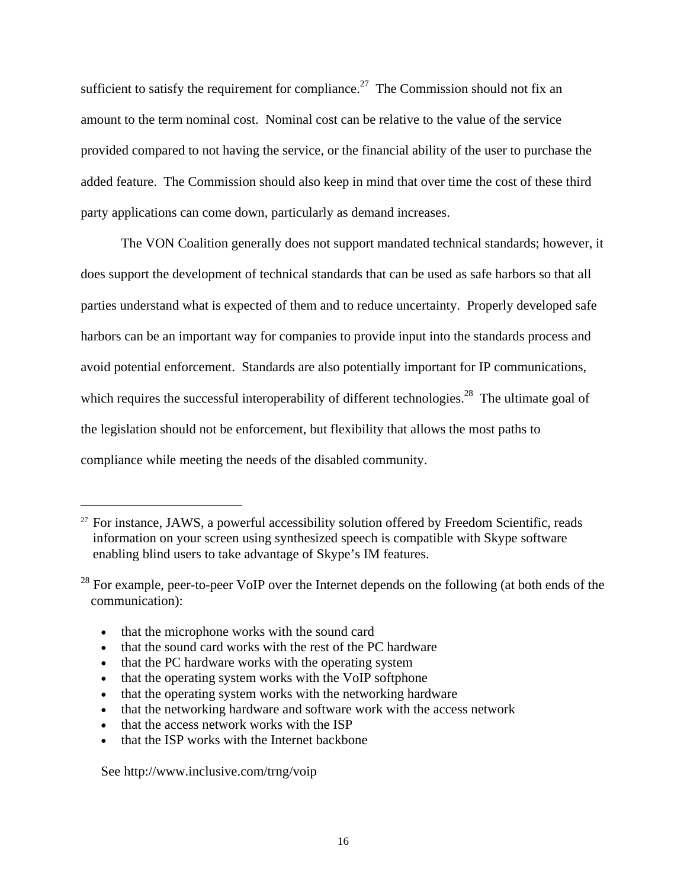sufficient to satisfy the requirement for compliance.<sup>27</sup> The Commission should not fix an amount to the term nominal cost. Nominal cost can be relative to the value of the service provided compared to not having the service, or the financial ability of the user to purchase the added feature. The Commission should also keep in mind that over time the cost of these third party applications can come down, particularly as demand increases.

 The VON Coalition generally does not support mandated technical standards; however, it does support the development of technical standards that can be used as safe harbors so that all parties understand what is expected of them and to reduce uncertainty. Properly developed safe harbors can be an important way for companies to provide input into the standards process and avoid potential enforcement. Standards are also potentially important for IP communications, which requires the successful interoperability of different technologies.<sup>28</sup> The ultimate goal of the legislation should not be enforcement, but flexibility that allows the most paths to compliance while meeting the needs of the disabled community.

- that the microphone works with the sound card
- that the sound card works with the rest of the PC hardware
- that the PC hardware works with the operating system
- that the operating system works with the VoIP softphone
- that the operating system works with the networking hardware
- that the networking hardware and software work with the access network
- that the access network works with the ISP
- that the ISP works with the Internet backbone

See http://www.inclusive.com/trng/voip

 $27$  For instance, JAWS, a powerful accessibility solution offered by Freedom Scientific, reads information on your screen using synthesized speech is compatible with Skype software enabling blind users to take advantage of Skype's IM features.

 $^{28}$  For example, peer-to-peer VoIP over the Internet depends on the following (at both ends of the communication):